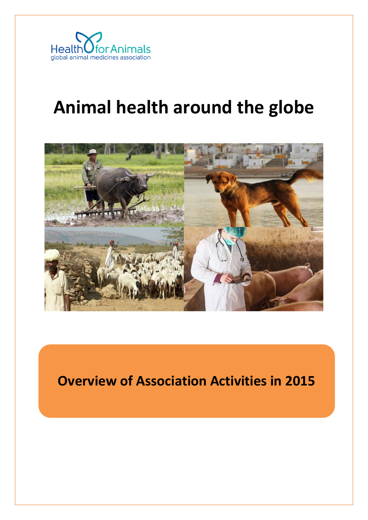

# **Animal health around the globe**



**Overview of Association Activities in 2015**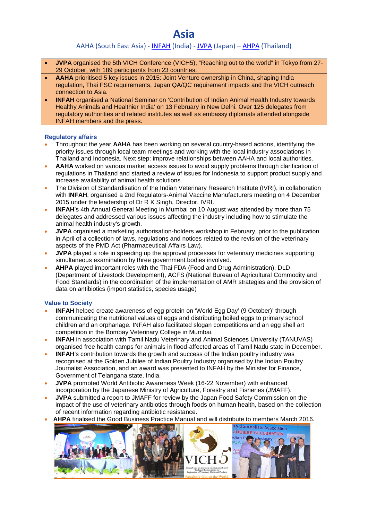### **Asia**

### AAHA (South East Asia) - [INFAH](http://www.infah.org/) (India) - [JVPA](http://jvpa.jp/) (Japan) - [AHPA](http://www.thaiahpa.com/) (Thailand)

- **JVPA** organised the 5th VICH Conference (VICH5), "Reaching out to the world" in Tokyo from 27- 29 October, with 189 participants from 23 countries.
- **AAHA** prioritised 5 key issues in 2015: Joint Venture ownership in China, shaping India regulation, Thai FSC requirements, Japan QA/QC requirement impacts and the VICH outreach connection to Asia.
- **INFAH** organised a National Seminar on 'Contribution of Indian Animal Health Industry towards Healthy Animals and Healthier India' on 13 February in New Delhi. Over 125 delegates from regulatory authorities and related institutes as well as embassy diplomats attended alongside INFAH members and the press.

#### **Regulatory affairs**

- Throughout the year **AAHA** has been working on several country-based actions, identifying the priority issues through local team meetings and working with the local industry associations in Thailand and Indonesia. Next step: improve relationships between AAHA and local authorities.
- **AAHA** worked on various market access issues to avoid supply problems through clarification of regulations in Thailand and started a review of issues for Indonesia to support product supply and increase availability of animal health solutions.
- The Division of Standardisation of the Indian Veterinary Research Institute (IVRI), in collaboration with **INFAH**, organised a 2nd Regulators-Animal Vaccine Manufacturers meeting on 4 December 2015 under the leadership of Dr R K Singh, Director, IVRI.
- **INFAH**'s 4th Annual General Meeting in Mumbai on 10 August was attended by more than 75 delegates and addressed various issues affecting the industry including how to stimulate the animal health industry's growth.
- **JVPA** organised a marketing authorisation-holders workshop in February, prior to the publication in April of a collection of laws, regulations and notices related to the revision of the veterinary aspects of the PMD Act (Pharmaceutical Affairs Law).
- **JVPA** played a role in speeding up the approval processes for veterinary medicines supporting simultaneous examination by three government bodies involved.
- **AHPA** played important roles with the Thai FDA (Food and Drug Administration), DLD (Department of Livestock Development), ACFS (National Bureau of Agricultural Commodity and Food Standards) in the coordination of the implementation of AMR strategies and the provision of data on antibiotics (import statistics, species usage)

- **INFAH** helped create awareness of egg protein on 'World Egg Day' (9 October)' through communicating the nutritional values of eggs and distributing boiled eggs to primary school children and an orphanage. INFAH also facilitated slogan competitions and an egg shell art competition in the Bombay Veterinary College in Mumbai.
- **INFAH** in association with Tamil Nadu Veterinary and Animal Sciences University (TANUVAS) organised free health camps for animals in flood-affected areas of Tamil Nadu state in December.
- **INFAH**'s contribution towards the growth and success of the Indian poultry industry was recognised at the Golden Jubilee of Indian Poultry Industry organised by the Indian Poultry Journalist Association, and an award was presented to INFAH by the Minister for Finance, Government of Telangana state, India.
- **JVPA** promoted World Antibiotic Awareness Week (16-22 November) with enhanced incorporation by the Japanese Ministry of Agriculture, Forestry and Fisheries (JMAFF).
- **JVPA** submitted a report to JMAFF for review by the Japan Food Safety Commission on the impact of the use of veterinary antibiotics through foods on human health, based on the collection of recent information regarding antibiotic resistance.
- 

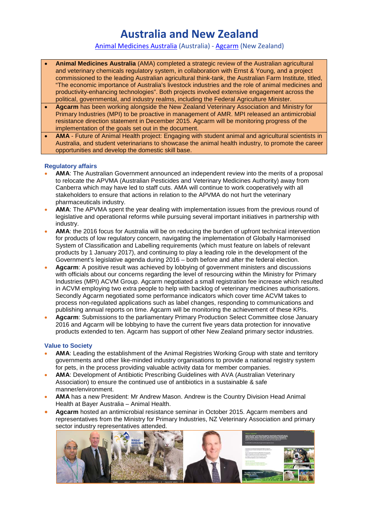### **Australia and New Zealand**

[Animal Medicines Australia](http://animalmedicinesaustralia.org.au/) (Australia) - [Agcarm](http://agcarm.co.nz/) (New Zealand)

- **Animal Medicines Australia** (AMA) completed a strategic review of the Australian agricultural and veterinary chemicals regulatory system, in collaboration with Ernst & Young, and a project commissioned to the leading Australian agricultural think-tank, the Australian Farm Institute, titled, "The economic importance of Australia's livestock industries and the role of animal medicines and productivity-enhancing technologies". Both projects involved extensive engagement across the political, governmental, and industry realms, including the Federal Agriculture Minister.
- **Agcarm** has been working alongside the New Zealand Veterinary Association and Ministry for Primary Industries (MPI) to be proactive in management of AMR. MPI released an antimicrobial resistance direction statement in December 2015. Agcarm will be monitoring progress of the implementation of the goals set out in the document.
- **AMA** Future of Animal Health project: Engaging with student animal and agricultural scientists in Australia, and student veterinarians to showcase the animal health industry, to promote the career opportunities and develop the domestic skill base.

#### **Regulatory affairs**

- **AMA**: The Australian Government announced an independent review into the merits of a proposal to relocate the APVMA (Australian Pesticides and Veterinary Medicines Authority) away from Canberra which may have led to staff cuts. AMA will continue to work cooperatively with all stakeholders to ensure that actions in relation to the APVMA do not hurt the veterinary pharmaceuticals industry.
- **AMA**: The APVMA spent the year dealing with implementation issues from the previous round of legislative and operational reforms while pursuing several important initiatives in partnership with industry.
- **AMA**: the 2016 focus for Australia will be on reducing the burden of upfront technical intervention for products of low regulatory concern, navigating the implementation of Globally Harmonised System of Classification and Labelling requirements (which must feature on labels of relevant products by 1 January 2017), and continuing to play a leading role in the development of the Government's legislative agenda during 2016 – both before and after the federal election.
- **Agcarm**: A positive result was achieved by lobbying of government ministers and discussions with officials about our concerns regarding the level of resourcing within the Ministry for Primary Industries (MPI) ACVM Group. Agcarm negotiated a small registration fee increase which resulted in ACVM employing two extra people to help with backlog of veterinary medicines authorisations. Secondly Agcarm negotiated some performance indicators which cover time ACVM takes to process non-regulated applications such as label changes, responding to communications and publishing annual reports on time. Agcarm will be monitoring the achievement of these KPIs.
- **Agcarm**: Submissions to the parliamentary Primary Production Select Committee close January 2016 and Agcarm will be lobbying to have the current five years data protection for innovative products extended to ten. Agcarm has support of other New Zealand primary sector industries.

- **AMA**: Leading the establishment of the Animal Registries Working Group with state and territory governments and other like-minded industry organisations to provide a national registry system for pets, in the process providing valuable activity data for member companies.
- **AMA**: Development of Antibiotic Prescribing Guidelines with AVA (Australian Veterinary Association) to ensure the continued use of antibiotics in a sustainable & safe manner/environment.
- **AMA** has a new President: Mr Andrew Mason. Andrew is the Country Division Head Animal Health at Bayer Australia – Animal Health.
- **Agcarm** hosted an antimicrobial resistance seminar in October 2015. Agcarm members and representatives from the Ministry for Primary Industries, NZ Veterinary Association and primary sector industry representatives attended.

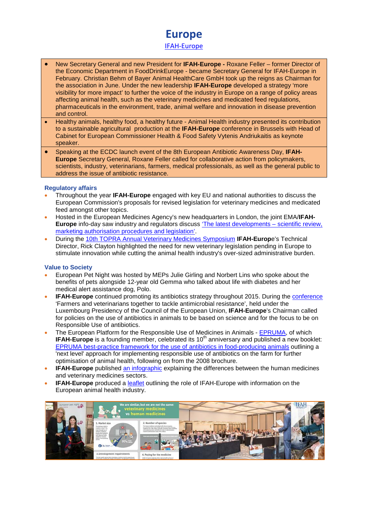## **Europe**

[IFAH-Europe](http://www.ifaheurope.org/)

- New Secretary General and new President for **IFAH-Europe -** Roxane Feller former Director of the Economic Department in FoodDrinkEurope - became Secretary General for IFAH-Europe in February. Christian Behm of Bayer Animal HealthCare GmbH took up the reigns as Chairman for the association in June. Under the new leadership **IFAH-Europe** developed a strategy 'more visibility for more impact' to further the voice of the industry in Europe on a range of policy areas affecting animal health, such as the veterinary medicines and medicated feed regulations, pharmaceuticals in the environment, trade, animal welfare and innovation in disease prevention and control.
- Healthy animals, healthy food, a healthy future Animal Health industry presented its contribution to a sustainable agricultural production at the **IFAH-Europe** [conference in Brussels](http://www.ifaheurope.org/ifah-media/events/236-ie-anconf15.html) with Head of Cabinet for European Commissioner Health & Food Safety Vytenis Andriukaitis as keynote speaker.
- Speaking at the ECDC launch event of the 8th European Antibiotic Awareness Day, **IFAH-Europe** Secretary General, Roxane Feller called for collaborative action from policymakers, scientists, industry, veterinarians, farmers, medical professionals, as well as the general public to address the issue of antibiotic resistance.

#### **Regulatory affairs**

- Throughout the year **IFAH-Europe** engaged with key EU and national authorities to discuss the European Commission's proposals for revised legislation for veterinary medicines and medicated feed amongst other topics.
- Hosted in the European Medicines Agency's new headquarters in London, the joint EMA/**IFAH-Europe** info-day saw industry and regulators discuss ['The latest developments –](http://www.ifaheurope.org/ifah-media/events/233-2015-infoday.html) scientific review, [marketing authorisation procedures and legislation'.](http://www.ifaheurope.org/ifah-media/events/233-2015-infoday.html)
- During the [10th TOPRA Annual Veterinary Medicines Symposium](http://www.ifaheurope.org/ifah-media/events/263-topra-2015.html) **IFAH-Europ**e's Technical Director, Rick Clayton highlighted the need for new veterinary legislation pending in Europe to stimulate innovation while cutting the animal health industry's over-sized administrative burden.

- European Pet Night was hosted by MEPs Julie Girling and Norbert Lins who spoke about the benefits of pets alongside 12-year old Gemma who talked about life with diabetes and her medical alert assistance dog, Polo.
- **IFAH-Europe** continued promoting its antibiotics strategy throughout 2015. During the [conference](http://www.ifaheurope.org/ifah-media/press/269-antimicrobial-resistance-the-european-animal-health-industry-calls-for-science-based-policies-focusing-on-responsible-use.html) 'Farmers and veterinarians together to tackle antimicrobial resistance', held under the Luxembourg Presidency of the Council of the European Union, **IFAH-Europe**'s Chairman called for policies on the use of antibiotics in animals to be based on science and for the focus to be on Responsible Use of antibiotics.
- The European Platform for the Responsible Use of Medicines in Animals [EPRUMA,](http://www.epruma.eu/) of which **IFAH-Europe** is a founding member, celebrated its 10<sup>th</sup> anniversary and published a new booklet: EPRUMA best-practice framework for the use of antibiotics in food-producing animals outlining a 'next level' approach for implementing responsible use of antibiotics on the farm for further optimisation of animal health, following on from the 2008 brochure.
- **IFAH-Europe** published [an infographic](http://www.ifaheurope.org/ifah-media/publications/264-innovation-timeline.html) explaining the differences between the human medicines and veterinary medicines sectors.
- **IFAH-Europe** produced a [leaflet](http://www.ifaheurope.org/ifah-media/publications/257-ifah-europe-leaflet.html) outlining the role of IFAH-Europe with information on the European animal health industry.

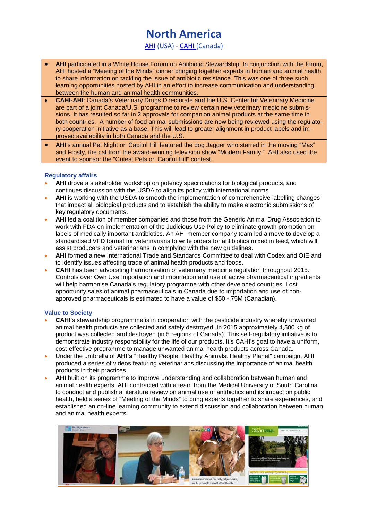### **North America**

[AHI](http://www.ahi.org/) (USA) - [CAHI \(](http://www.cahi-icsa.ca/)Canada)

- **AHI** participated in a White House Forum on Antibiotic Stewardship. In conjunction with the forum, AHI hosted a "Meeting of the Minds" dinner bringing together experts in human and animal health to share information on tackling the issue of antibiotic resistance. This was one of three such learning opportunities hosted by AHI in an effort to increase communication and understanding between the human and animal health communities.
- **CAHI-AHI**: Canada's Veterinary Drugs Directorate and the U.S. Center for Veterinary Medicine are part of a joint Canada/U.S. programme to review certain new veterinary medicine submissions. It has resulted so far in 2 approvals for companion animal products at the same time in both countries. A number of food animal submissions are now being reviewed using the regulatory cooperation initiative as a base. This will lead to greater alignment in product labels and improved availability in both Canada and the U.S.
- **AHI**'s annual Pet Night on Capitol Hill featured the dog Jagger who starred in the moving "Max" and Frosty, the cat from the award-winning television show "Modern Family." AHI also used the event to sponsor the "Cutest Pets on Capitol Hill" contest.

#### **Regulatory affairs**

- **AHI** drove a stakeholder workshop on potency specifications for biological products, and continues discussion with the USDA to align its policy with international norms
- **AHI** is working with the USDA to smooth the implementation of comprehensive labelling changes that impact all biological products and to establish the ability to make electronic submissions of key regulatory documents.
- **AHI** led a coalition of member companies and those from the Generic Animal Drug Association to work with FDA on implementation of the Judicious Use Policy to eliminate growth promotion on labels of medically important antibiotics. An AHI member company team led a move to develop a standardised VFD format for veterinarians to write orders for antibiotics mixed in feed, which will assist producers and veterinarians in complying with the new guidelines.
- **AHI** formed a new International Trade and Standards Committee to deal with Codex and OIE and to identify issues affecting trade of animal health products and foods.
- **CAHI** has been advocating harmonisation of veterinary medicine regulation throughout 2015. Controls over Own Use Importation and importation and use of active pharmaceutical ingredients will help harmonise Canada's regulatory programne with other developed countries. Lost opportunity sales of animal pharmaceuticals in Canada due to importation and use of nonapproved pharmaceuticals is estimated to have a value of \$50 - 75M (Canadian).

- **CAHI**'s stewardship programme is in cooperation with the pesticide industry whereby unwanted animal health products are collected and safely destroyed. In 2015 approximately 4,500 kg of product was collected and destroyed (in 5 regions of Canada). This self-regulatory initiative is to demonstrate industry responsibility for the life of our products. It's CAHI's goal to have a uniform, cost-effective programme to manage unwanted animal health products across Canada.
- Under the umbrella of **AHI's** "Healthy People. Healthy Animals. Healthy Planet" campaign, AHI produced a series of videos featuring veterinarians discussing the importance of animal health products in their practices.
- **AHI** built on its programme to improve understanding and collaboration between human and animal health experts. AHI contracted with a team from the Medical University of South Carolina to conduct and publish a literature review on animal use of antibiotics and its impact on public health, held a series of "Meeting of the Minds" to bring experts together to share experiences, and established an on-line learning community to extend discussion and collaboration between human and animal health experts.

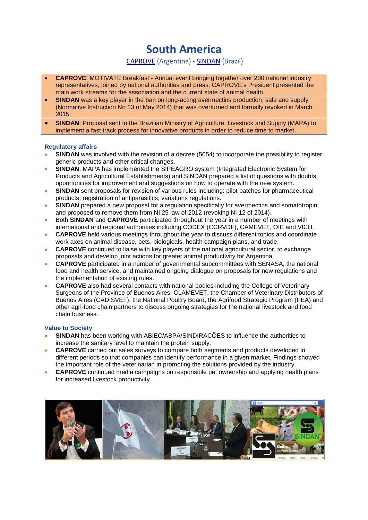# **South America**

### [CAPROVE](http://caprove.com.ar.ci1.toservers.com/) (Argentina) - [SINDAN](http://www.sindan.org.br/) (Brazil)

- **CAPROVE**: MOTIVATE Breakfast Annual event bringing together over 200 national industry representatives, joined by national authorities and press. CAPROVE's President presented the main work streams for the association and the current state of animal health.
- **SINDAN** was a key player in the ban on long-acting avermectins production, sale and supply (Normative Instruction No 13 of May 2014) that was overturned and formally revoked in March 2015.
- **SINDAN**: Proposal sent to the Brazilian Ministry of Agriculture, Livestock and Supply (MAPA) to implement a fast track process for innovative products in order to reduce time to market.

#### **Regulatory affairs**

- **SINDAN** was involved with the revision of a decree (5054) to incorporate the possibility to register generic products and other critical changes.
- **SINDAN:** MAPA has implemented the SIPEAGRO system (Integrated Electronic System for Products and Agricultural Establishments) and SINDAN prepared a list of questions with doubts, opportunities for improvement and suggestions on how to operate with the new system.
- **SINDAN** sent proposals for revision of various rules including: pilot batches for pharmaceutical products; registration of antiparasitics; variations regulations.
- **SINDAN** prepared a new proposal for a regulation specifically for avermectins and somatotropin and proposed to remove them from NI 25 law of 2012 (revoking NI 12 of 2014).
- Both **SINDAN** and **CAPROVE** participated throughout the year in a number of meetings with international and regional authorities including CODEX (CCRVDF), CAMEVET, OIE and VICH.
- **CAPROVE** held various meetings throughout the year to discuss different topics and coordinate work axes on animal disease, pets, biologicals, health campaign plans, and trade.
- **CAPROVE** continued to liaise with key players of the national agricultural sector, to exchange proposals and develop joint actions for greater animal productivity for Argentina.
- **CAPROVE** participated in a number of governmental subcommittees with SENASA, the national food and health service, and maintained ongoing dialogue on proposals for new regulations and the implementation of existing rules.
- **CAPROVE** also had several contacts with national bodies including the College of Veterinary Surgeons of the Province of Buenos Aires, CLAMEVET, the Chamber of Veterinary Distributors of Buenos Aires (CADISVET), the National Poultry Board, the Agrifood Strategic Program (PEA) and other agri-food chain partners to discuss ongoing strategies for the national livestock and food chain business.

- **SINDAN** has been working with ABIEC/ABPA/SINDIRAÇÕES to influence the authorities to increase the sanitary level to maintain the protein supply.
- **CAPROVE** carried out sales surveys to compare both segments and products developed in different periods so that companies can identify performance in a given market. Findings showed the important role of the veterinarian in promoting the solutions provided by the industry.
- **CAPROVE** continued media campaigns on responsible pet ownership and applying health plans for increased livestock productivity.

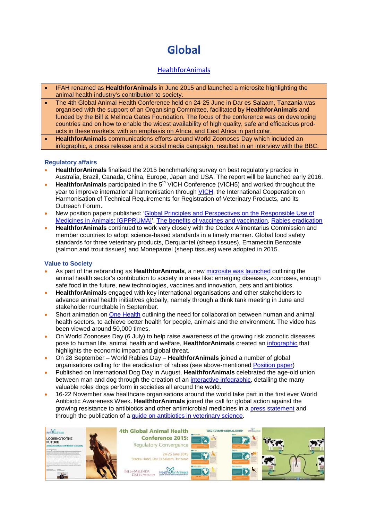# **Global**

### [HealthforAnimals](http://www.healthforanimals.org/)

- IFAH renamed as **HealthforAnimals** in June 2015 and launched a microsite highlighting the animal health industry's contribution to society.
- The 4th Global Animal Health Conference held on 24-25 June in Dar es Salaam, Tanzania was organised with the support of an Organising Committee, facilitated by **HealthforAnimals** and funded by the Bill & Melinda Gates Foundation. The focus of the conference was on developing countries and on how to enable the widest availability of high quality, safe and efficacious products in these markets, with an emphasis on Africa, and East Africa in particular.
- **HealthforAnimals** communications efforts around World Zoonoses Day which included an infographic, a press release and a social media campaign, resulted in an interview with the BBC.

#### **Regulatory affairs**

- **HealthforAnimals** finalised the 2015 benchmarking survey on best regulatory practice in Australia, Brazil, Canada, China, Europe, Japan and USA. The report will be launched early 2016.
- **HealthforAnimals** participated in the 5th VICH Conference (VICH5) and worked throughout the year to improve international harmonisation through [VICH,](http://www.vichsec.org/) the International Cooperation on Harmonisation of Technical Requirements for Registration of Veterinary Products, and its Outreach Forum.
- New position papers published: ['Global Principles and Perspectives on the Responsible Use of](http://healthforanimals.org/global-principles-and-perspectives-on-the-responsible-use-of-medicines-in-animals-gppruma/)  [Medicines in Animals: \[GPPRUMA\]',](http://healthforanimals.org/global-principles-and-perspectives-on-the-responsible-use-of-medicines-in-animals-gppruma/) [The benefits of vaccines and vaccination,](http://healthforanimals.org/the-benefits-of-vaccines-and-vaccination/) [Rabies eradication](http://healthforanimals.org/healthforanimals-position-on-rabies-eradication-rabies-can-and-must-be-eradicated-2/)
- **HealthforAnimals** continued to work very closely with the Codex Alimentarius Commission and member countries to adopt science-based standards in a timely manner. Global food safety standards for three veterinary products, Derquantel (sheep tissues), Emamectin Benzoate (salmon and trout tissues) and Monepantel (sheep tissues) were adopted in 2015.

- As part of the rebranding as **HealthforAnimals**, a new [microsite was launched](http://healthforanimals.org/ourcontribution/) outlining the animal health sector's contribution to society in areas like: emerging diseases, zoonoses, enough safe food in the future, new technologies, vaccines and innovation, pets and antibiotics.
- **HealthforAnimals** engaged with key international organisations and other stakeholders to advance animal health initiatives globally, namely through a think tank meeting in June and stakeholder roundtable in September.
- Short animation on [One Health](https://www.youtube.com/watch?v=uodJ1-cgAW4) outlining the need for collaboration between human and animal health sectors, to achieve better health for people, animals and the environment. The video has been viewed around 50,000 times.
- On World Zoonoses Day (6 July) to help raise awareness of the growing risk zoonotic diseases pose to human life, animal health and welfare, **HealthforAnimals** created an [infographic](http://healthforanimals.org/infographic-world-zoonoses-day/) that highlights the economic impact and global threat.
- On 28 September World Rabies Day **HealthforAnimals** joined a number of global organisations calling for the eradication of rabies (see above-mentioned [Position paper\)](http://healthforanimals.org/healthforanimals-position-on-rabies-eradication-rabies-can-and-must-be-eradicated/)
- Published on International Dog Day in August, **HealthforAnimals** celebrated the age-old union between man and dog through the creation of an [interactive infographic,](http://healthforanimals.org/human-animal-bond/) detailing the many valuable roles dogs perform in societies all around the world.
- 16-22 November saw healthcare organisations around the world take part in the first ever World Antibiotic Awareness Week. **HealthforAnimals** joined the call for global action against the growing resistance to antibiotics and other antimicrobial medicines in a [press statement](http://healthforanimals.org/healthforanimals-promote-the-responsible-use-of-antibiotics/) and through the publication of a [guide on antibiotics in veterinary science.](http://healthforanimals.org/wp-content/files_mf/1445860254HealthforAnimalsAntibioticsGuidetoUnderstanding.pdf)